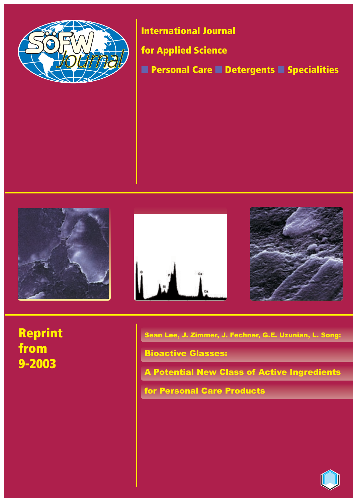

**International Journal**

**for Applied Science**

■ **Personal Care** ■ **Detergents** ■ **Specialities**







**Reprint from 9-2003**

Sean Lee, J. Zimmer, J. Fechner, G.E. Uzunian, L. Song:

Bioactive Glasses:

A Potential New Class of Active Ingredients

for Personal Care Products

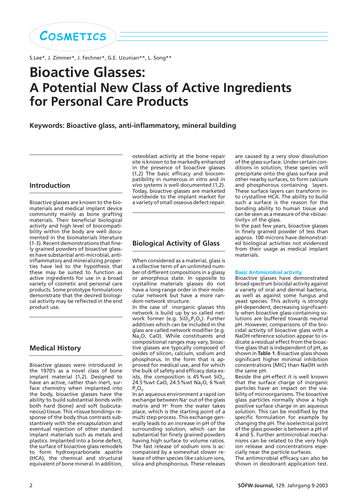**COSMETICS**

S.Lee\*, J. Zimmer\*, J. Fechner\*, G.E. Uzunian\*\*, L. Song\*\*

# **Bioactive Glasses: A Potential New Class of Active Ingredients for Personal Care Products**

## **Keywords: Bioactive glass, anti-inflammatory, mineral building**

## **Introduction**

Bioactive glasses are known to the biomaterials and medical implant device community mainly as bone grafting materials. Their beneficial biological activity and high level of biocompatibility within the body are well documented in the biomaterials literature (1-3). Recent demonstrations that finely grained powders of bioactive glasses have substantial anti-microbial, antiinflammatory and mineralizing properties have led to the hypothesis that these may be suited to function as active ingredients for use in a broad variety of cosmetic and personal care products. Some prototype formulations demonstrate that the desired biological activity may be reflected in the end product use.

## **Medical History**

Bioactive glasses were introduced in the 1970's as a novel class of bone implant material (1,2). Designed to have an active, rather than inert, surface chemistry when implanted into the body, bioactive glasses have the ability to build substantial bonds with both hard (bone) and soft (subcutaneous) tissue. This »tissue bonding« response of the body thus contrasts substantively with the encapsulation and eventual rejection of other standard implant materials such as metals and plastics. Implanted into a bone defect, the surface of bioactive glass remodels to form hydroxycarbonate apatite (HCA), the chemical and structural equivalent of bone mineral. In addition,

osteoblast activity at the bone repair site is known to be markedly enhanced in the presence of bioactive glasses (1,2) The basic efficacy and biocompatibility in numerous *in vitro* and *in vivo* systems is well documented (1,2). Today, bioactive glasses are marketed worldwide to the implant market for a variety of small osseous defect repair.

## **Biological Activity of Glass**

When considered as a material, glass is a collective term of an unlimited number of different compositions in a glassy or amorphous state. In opposite to crystalline materials glasses do not have a long range order in their molecular network but have a more random network structure.

In the case of inorganic glasses this network is build up by so called network former (e.g.  $SiO_{2}P_{2}O_{5}$ ). Further additives which can be included in the glass are called network modifier (e.g. Na<sub>2</sub>O, CaO). While constituents and compositional ranges may vary, bioactive glasses are typically composed of oxides of silicon, calcium, sodium and phosphorus. In the form that is approved for medical use, and for which the bulk of safety and efficacy data exists, the composition is  $45\%$  wt SiO<sub>2</sub>, 24.5 %wt CaO, 24.5 %wt Na<sub>2</sub>O, 6 %wt  $P_2O_5.$ 

In an aqueous environment a rapid ion exchange between Na+ out of the glass matrix and H+ from the water takes place, which is the starting point of a multi step process. This exchange generally leads to an increase in pH of the surrounding solution, which can be substantial for finely grained powders having high surface to volume ratios. The fast release of sodium ions is accompanied by a somewhat slower release of other species like calcium ions, silica and phosphorous. These releases

are caused by a very slow dissolution of the glass surface. Under certain conditions in solution, these species will precipitate onto the glass surface and other nearby surfaces, to form calcium and phosphorous containing layers. These surface layers can transform into crystalline HCA. The ability to build such a surface is the reason for the bonding ability to human tissue and can be seen as a measure of the »bioactivity« of the glass.

In the past few years, bioactive glasses in finely grained powder of less than approx. 100 microns have demonstrated biological activities not evidenced from their usage as medical implant materials.

#### **Basic Antimicrobial activity**

Bioactive glasses have demonstrated broad-spectrum biocidal activity against a variety of oral and dermal bacteria, as well as against some fungus and yeast species. This activity is strongly pH dependent, decreasing significantly when bioactive glass-containing solutions are buffered towards neutral pH. However, comparisons of the biocidal activity of bioactive glass with a NaOH reference solution appear to indicate a residual effect from the bioactive glass that is independent of pH, as shown in **Table 1**. Bioactive glass shows significant higher minimal inhibition concentrations [MIC] than NaOH with the same pH.

Beside the pH-effect it is well known that the surface charge of inorganic particles have an impact on the viability of microorganisms. The bioactive glass particles normally show a high positive surface charge in an aqueous solution. This can be modified by the specific formulation for example by changing the pH. The isoelectrical point of the glass powder is between a pH of 4 and 5. Further antimicrobial mechanisms can be related to the very high ion release and concentrations especially near the particle surfaces.

The antimicrobial efficacy can also be shown in deodorant application test.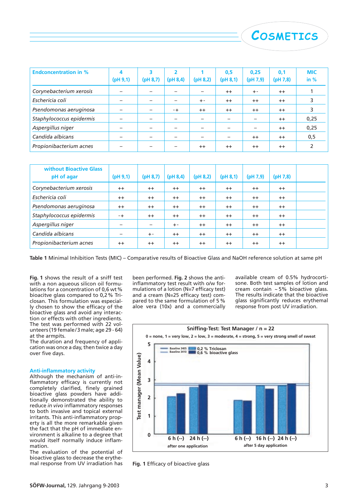| <b>Endconcentration in %</b> | 4         | 3                        | $\overline{\phantom{a}}$ |                          | 0,5       | 0,25      | 0,1      | <b>MIC</b> |
|------------------------------|-----------|--------------------------|--------------------------|--------------------------|-----------|-----------|----------|------------|
|                              | (pH 9, 1) | (pH 8,7)                 | (pH 8, 4)                | (pH 8,2)                 | (pH 8, 1) | (pH 7, 9) | (pH 7,8) | in $%$     |
| Corynebacterium xerosis      |           |                          |                          | $\overline{\phantom{0}}$ | $++$      | $+ -$     | $++$     |            |
| Eschericia coli              |           | $\overline{\phantom{0}}$ |                          | $+ -$                    | $++$      | $++$      | $++$     | 3          |
| Psendomonas aeruginosa       |           | $\overline{\phantom{0}}$ | - +                      | $++$                     | $++$      | $^{++}$   | $++$     |            |
| Staphylococcus epidermis     |           | $\overline{\phantom{0}}$ | $\overline{\phantom{0}}$ | $\overline{\phantom{0}}$ |           |           | $++$     | 0,25       |
| Aspergillus niger            |           |                          |                          |                          |           |           | $++$     | 0,25       |
| Candida albicans             |           |                          |                          |                          |           | $++$      | $++$     | 0,5        |
| Propionibacterium acnes      |           |                          |                          | $++$                     | $^{++}$   | $^{++}$   | $^{++}$  | 2          |

| <b>without Bioactive Glass</b><br>pH of agar | (pH 9, 1) | (pH 8,7)          | (pH 8, 4) | (pH 8,2) | (pH 8, 1) | (pH 7,9) | $(\text{pH } 7,8)$ |  |
|----------------------------------------------|-----------|-------------------|-----------|----------|-----------|----------|--------------------|--|
| Corynebacterium xerosis                      | $++$      | $^{++}$           | $++$      | $++$     | $++$      | $++$     | $++$               |  |
| Eschericia coli                              | $++$      | $^{++}$           | $++$      | $++$     | $++$      | $++$     | $^{++}$            |  |
| Psendomonas aeruginosa                       | $++$      | $++$              | $++$      | $++$     | $++$      | $++$     | $^{++}$            |  |
| Staphylococcus epidermis                     | $-+$      | $++$              | $++$      | $++$     | $++$      | $++$     | $++$               |  |
| Aspergillus niger                            |           | $\qquad \qquad -$ | $+ -$     | $++$     | $++$      | $++$     | $++$               |  |
| Candida albicans                             |           | $+ -$             | $++$      | $++$     | $++$      | $++$     | $++$               |  |
| Propionibacterium acnes                      | $++$      | $^{++}$           | $++$      | $++$     | $++$      | $++$     | $^{++}$            |  |

**Table 1** Minimal Inhibition Tests (MIC) – Comparative results of Bioactive Glass and NaOH reference solution at same pH

**Fig. 1** shows the result of a sniff test with a non aqueous silicon oil formulations for a concentration of 0,6 wt% bioacitve glass compared to 0,2% Triclosan. This formulation was especially chosen to show the efficacy of the bioactive glass and avoid any interaction or effects with other ingredients. The test was performed with 22 volunteers (19 female/3 male; age 29 - 64) at the armpits.

The duration and frequency of application was once a day, then twice a day over five days.

#### **Anti-inflammatory activity**

Although the mechanism of anti-inflammatory efficacy is currently not completely clarified, finely grained bioactive glass powders have additionally demonstrated the ability to reduce *in vivo* inflammatory responses to both invasive and topical external irritants. This anti-inflammatory property is all the more remarkable given the fact that the pH of immediate environment is alkaline to a degree that would itself normally induce inflammation.

The evaluation of the potential of bioactive glass to decrease the erythemal response from UV irradiation has

been performed. **Fig. 2** shows the antiinflammatory test result with o/w formulations of a lotion (N=7 efficacy test) and a cream (N=25 efficacy test) compared to the same formulation of 5 % aloe vera (10x) and a commercially

available cream of 0.5% hydrocortisone. Both test samples of lotion and cream contain ~ 5% bioactive glass. The results indicate that the bioactive glass significantly reduces erythemal response from post UV irradiation.

**COSMETICS**



**Fig. 1** Efficacy of bioactive glass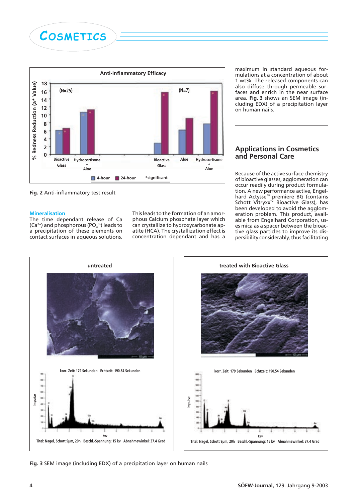



**Fig. 2** Anti-inflammatory test result

#### **Mineralisation**

The time dependant release of Ca  $(Ca<sup>2+</sup>)$  and phosphorous (PO<sub>4</sub><sup>3</sup>) leads to a precipitation of these elements on contact surfaces in aqueous solutions. This leads to the formation of an amorphous Calcium phosphate layer which can crystallize to hydroxycarbonate apatite (HCA). The crystallization effect is concentration dependant and has a

maximum in standard aqueous formulations at a concentration of about 1 wt%. The released components can also diffuse through permeable surfaces and enrich in the near surface area. **Fig. 3** shows an SEM image (including EDX) of a precipitation layer on human nails.

## **Applications in Cosmetics and Personal Care**

Because of the active surface chemistry of bioactive glasses, agglomeration can occur readily during product formulation. A new performance active, Engelhard Actysse™ premiere BG (contains Schott Vitryxx™ Bioactive Glass), has been developed to avoid the agglomeration problem. This product, available from Engelhard Corporation, uses mica as a spacer between the bioactive glass particles to improve its dispersibility considerably, thus facilitating





**Fig. 3** SEM image (including EDX) of a precipitation layer on human nails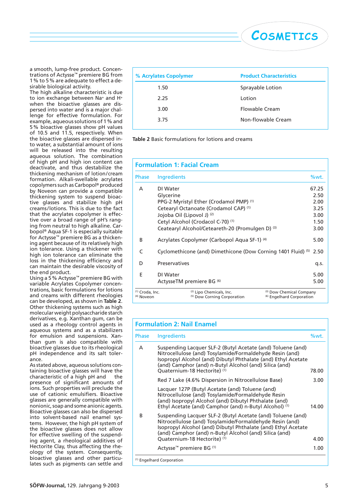a smooth, lump-free product. Concentrations of Actysse™ premiere BG from 1% to 5% are adequate to effect a desirable biological activity.

The high alkaline characteristic is due to ion exchange between Na+ and H+ when the bioactive glasses are dispersed into water and is a major challenge for effective formulation. For example, aqueous solutions of 1% and 5% bioactive glasses show pH values of 10.5 and 11.5, respectively. When the bioactive glasses are dispersed into water, a substantial amount of ions will be released into the resulting aqueous solution. The combination of high pH and high ion content can deactivate, and thus destabilize the thickening mechanism of lotion/cream formation. Alkali-swellable acrylates copolymers such as Carbopol® produced by Noveon can provide a compatible thickening system to suspend bioactive glasses and stabilize high pH creams/lotions. This is due to the fact that the acrylates copolymer is effective over a broad range of pH's ranging from neutral to high alkaline. Carbopol® Aqua SF-1 is especially suitable for Actysse™ premiere BG as a thickening agent because of its relatively high ion tolerance. Using a thickener with high ion tolerance can eliminate the loss in the thickening efficiency and can maintain the desirable viscosity of the end product.

Using a 5% Actysse™ premiere BG with variable Acrylates Copolymer concentrations, basic formulations for lotions and creams with different rheologies can be developed, as shown in **Table 2**. Other thickening systems such as high molecular weight polysaccharide starch derivatives, e.g. Xanthan gum, can be used as a rheology control agents in aqueous systems and as a stabilizers for emulsion and suspensions. Xanthan gum is also compatible with bioactive glasses due to its rheological pH independence and its salt tolerance.

As stated above, aqueous solutions containing bioactive glasses will have the characteristic of a high pH and the presence of significant amounts of ions. Such properties will preclude the use of cationic emulsifiers. Bioactive glasses are generally compatible with nonionic, soap and some anionic agents. Bioactive glasses can also be dispersed into solvent-based nail enamel systems. However, the high pH system of the bioactive glasses does not allow for effective swelling of the suspending agent, a rheological additives of Hectorite Clay, thus affecting the rheology of the system. Consequently, bioactive glasses and other particulates such as pigments can settle and

| % Acrylates Copolymer | <b>Product Characteristics</b> |
|-----------------------|--------------------------------|
| 1.50                  | Sprayable Lotion               |
| 2.25                  | Lotion                         |
| 3.00                  | Flowable Cream                 |
| 3.75                  | Non-flowable Cream             |
|                       |                                |

**COSMETICS**

**Table 2** Basic formulations for lotions and creams

| <b>Formulation 1: Facial Cream</b>                  |                            |                                                               |                                                                  |
|-----------------------------------------------------|----------------------------|---------------------------------------------------------------|------------------------------------------------------------------|
| <b>Phase</b>                                        | Ingredients                |                                                               | %wt.                                                             |
| А                                                   | DI Water                   |                                                               | 67.25                                                            |
|                                                     | Glycerine                  |                                                               | 2.50                                                             |
|                                                     |                            | PPG-2 Myristyl Ether (Crodamol PMP) <sup>(1)</sup>            | 2.00                                                             |
|                                                     |                            | Cetearyl Octanoate (Crodamol CAP) (1)                         | 3.25                                                             |
|                                                     | Jojoba Oil (Lipovol J) (2) |                                                               | 3.00                                                             |
|                                                     |                            | Cetyl Alcohol (Crodacol C-70) <sup>(1)</sup>                  | 1.50                                                             |
|                                                     |                            | Ceatearyl Alcohol/Ceteareth-20 (Promulgen D) <sup>(3)</sup>   | 3.00                                                             |
| B                                                   |                            | Acrylates Copolymer (Carbopol Aqua SF-1) (4)                  | 5.00                                                             |
| C                                                   |                            | Cyclomethicone (and) Dimethicone (Dow Corning 1401 Fluid) (5) | 2.50                                                             |
| D                                                   | Preservatives              |                                                               | q.s.                                                             |
| F                                                   | DI Water                   |                                                               | 5.00                                                             |
|                                                     |                            | ActysseTM premiere BG (6)                                     | 5.00                                                             |
| <sup>(1)</sup> Croda, Inc.<br><sup>(4)</sup> Noveon |                            | (2) Lipo Chemicals, Inc.<br>(5) Dow Corning Corporation       | (3) Dow Chemical Company<br><sup>(6)</sup> Engelhard Corporation |

| Phase | Ingredients                                                                                                                                                                                                                                                                        | %wt.  |
|-------|------------------------------------------------------------------------------------------------------------------------------------------------------------------------------------------------------------------------------------------------------------------------------------|-------|
| A     | Suspending Lacquer SLF-2 (Butyl Acetate (and) Toluene (and)<br>Nitrocellulose (and) Tosylamide/Formaldehyde Resin (and)<br>Isopropyl Alcohol (and) Dibutyl Phthalate (and) Ethyl Acetate<br>(and) Camphor (and) n-Butyl Alcohol (and) Silica (and)<br>Quaternium-18 Hectorite) (1) | 78.00 |
|       | Red 7 Lake (4.6% Dispersion in Nitrocellulose Base)                                                                                                                                                                                                                                | 3.00  |
|       | Lacquer 127P (Butyl Acetate (and) Toluene (and)<br>Nitrocellulose (and) Tosylamide/Formaldehyde Resin<br>(and) Isopropyl Alcohol (and) Dibutyl Phthalate (and)<br>Ethyl Acetate (and) Camphor (and) n-Butyl Alcohol) <sup>(1)</sup>                                                | 14.00 |
| B     | Suspending Lacquer SLF-2 (Butyl Acetate (and) Toluene (and)<br>Nitrocellulose (and) Tosylamide/Formaldehyde Resin (and)<br>Isopropyl Alcohol (and) Dibutyl Phthalate (and) Ethyl Acetate<br>(and) Camphor (and) n-Butyl Alcohol (and) Silica (and)                                 |       |
|       | Quaternium-18 Hectorite) (1)                                                                                                                                                                                                                                                       | 4.00  |
|       | Actysse <sup>™</sup> premiere BG <sup>(1)</sup>                                                                                                                                                                                                                                    | 1.00  |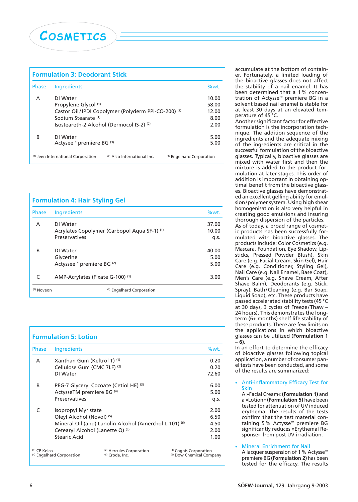

| <b>Formulation 3: Deodorant Stick</b> |                                                                   |                           |  |
|---------------------------------------|-------------------------------------------------------------------|---------------------------|--|
| <b>Phase</b>                          | Ingredients                                                       | $%wt$ .                   |  |
| А                                     | DI Water                                                          | 10.00                     |  |
|                                       | Propylene Glycol (1)                                              | 58.00                     |  |
|                                       | Castor Oil/IPDI Copolymer (Polyderm PPI-CO-200) <sup>(2)</sup>    | 12.00                     |  |
|                                       | Sodium Stearate (1)                                               | 8.00                      |  |
|                                       | Isosteareth-2 Alcohol (Dermocol IS-2) (2)                         | 2.00                      |  |
| B                                     | DI Water                                                          | 5.00                      |  |
|                                       | Actysee <sup>™</sup> premiere BG <sup>(3)</sup>                   | 5.00                      |  |
|                                       | (2) Alzo International Inc.<br>(1) Jeen International Corporation | (3) Engelhard Corporation |  |

| <b>Formulation 4: Hair Styling Gel</b> |                                                               |                |  |  |
|----------------------------------------|---------------------------------------------------------------|----------------|--|--|
| <b>Phase</b>                           | Ingredients                                                   | %wt.           |  |  |
| A                                      | DI Water<br>Acrylates Copolymer (Carbopol Aqua SF-1) (1)      | 37.00<br>10.00 |  |  |
| B                                      | <b>Preservatives</b><br>DI Water                              | q.s.<br>40.00  |  |  |
|                                        | Glycerine<br>Actyssee <sup>™</sup> premiere BG <sup>(2)</sup> | 5.00<br>5.00   |  |  |
| C                                      | AMP-Acrylates (Fixate G-100) (1)                              | 3.00           |  |  |
| <sup>(1)</sup> Noveon                  | (2) Engelhard Corporation                                     |                |  |  |

|                | <b>Formulation 5: Lotion</b>           |                                                        |                                                               |       |  |
|----------------|----------------------------------------|--------------------------------------------------------|---------------------------------------------------------------|-------|--|
| Phase          | Ingredients                            |                                                        |                                                               | %wt.  |  |
| A              | Xanthan Gum (Keltrol T) (1)            |                                                        |                                                               | 0.20  |  |
|                | Cellulose Gum (CMC 7LF) <sup>(2)</sup> |                                                        |                                                               | 0.20  |  |
|                | DI Water                               |                                                        |                                                               | 72.60 |  |
| B              |                                        | PEG-7 Glyceryl Cocoate (Cetiol HE) (3)                 |                                                               | 6.00  |  |
|                | ActysseTM premiere BG <sup>(4)</sup>   |                                                        |                                                               | 5.00  |  |
|                | <b>Preservatives</b>                   |                                                        |                                                               | q.s.  |  |
|                | Isopropyl Myristate                    |                                                        |                                                               | 2.00  |  |
|                | Oleyl Alcohol (Novol) (5)              |                                                        |                                                               | 6.50  |  |
|                |                                        | Mineral Oil (and) Lanolin Alcohol (Amerchol L-101) (6) |                                                               | 4.50  |  |
|                | Cetearyl Alcohol (Lanette O) (3)       |                                                        |                                                               | 2.00  |  |
|                | Stearic Acid                           |                                                        |                                                               | 1.00  |  |
| $(1)$ CP Kelco | <sup>(4)</sup> Engelhard Corporation   | (2) Hercules Corporation<br>(5) Croda, Inc.            | (3) Cognis Corporation<br><sup>(6)</sup> Dow Chemical Company |       |  |

accumulate at the bottom of container. Fortunately, a limited loading of the bioactive glasses does not affect the stability of a nail enamel. It has been determined that a 1 % concentration of Actysse™ premiere BG in a solvent based nail enamel is stable for at least 30 days at an elevated temperature of 45 °C.

Another significant factor for effective formulation is the incorporation technique. The addition sequence of the ingredients and the adequate mixing of the ingredients are critical in the successful formulation of the bioactive glasses. Typically, bioactive glasses are mixed with water first and then the mixture is added to the product formulation at later stages. This order of addition is important in obtaining optimal benefit from the bioactive glasses. Bioactive glasses have demonstrated an excellent gelling ability for emulsion/polymer system. Using high shear homogenisation is also very helpful in creating good emulsions and insuring thorough dispersion of the particles. As of today, a broad range of cosmetic products has been successfully formulated with bioactive glasses. The products include: Color Cosmetics (e.g. Mascara, Foundation, Eye Shadow, Lipsticks, Pressed Powder Blush), Skin Care (e.g. Facial Cream, Skin Gel), Hair Care (e.g. Conditioner, Styling Gel), Nail Care (e.g. Nail Enamel, Base Coat), Men's Care (e.g. Shave Cream, After Shave Balm), Deodorants (e.g. Stick, Spray), Bath/Cleaning (e.g. Bar Soap, Liquid Soap), etc. These products have passed accelerated stability tests (45 °C at 30 days, 3 cycles of Freeze/Thaw – 24 hours). This demonstrates the longterm (6+ months) shelf life stability of these products. There are few limits on the applications in which bioactive glasses can be utilized (**Formulation 1 – 6)**.

In an effort to determine the efficacy of bioactive glasses following topical application, a number of consumer panel tests have been conducted, and some of the results are summarized:

#### • Anti-inflammatory Efficacy Test for **Skin**

A »Facial Cream« **(Formulation 1)** and a »Lotion« **(Formulation 5)** have been tested for attenuation of UV induced erythema. The results of the tests confirm that the test material containing 5 % Actysse™ premiere BG significantly reduces »Erythemal Response« from post UV irradiation.

#### • Mineral Enrichment for Nail A lacquer suspension of 1 % Actysse™ premiere BG **(Formulation 2)** has been tested for the efficacy. The results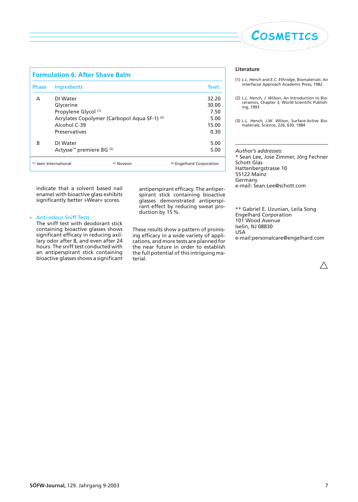| COSMETICS |
|-----------|
|           |

| <b>Formulation 6: After Shave Balm</b> |                                                 |            |                           |  |
|----------------------------------------|-------------------------------------------------|------------|---------------------------|--|
| <b>Phase</b>                           | Ingredients                                     |            | %wt.                      |  |
| A                                      | DI Water                                        |            | 32.20                     |  |
|                                        | Glycerine                                       |            | 30.00                     |  |
|                                        | Propylene Glycol (1)                            |            | 7.50                      |  |
|                                        | Acrylates Copolymer (Carbopol Aqua SF-1) (2)    |            | 5.00                      |  |
|                                        | Alcohol C-39                                    |            | 15.00                     |  |
|                                        | <b>Preservatives</b>                            |            | 0.30                      |  |
| R                                      | DI Water                                        |            | 5.00                      |  |
|                                        | Actysse <sup>™</sup> premiere BG <sup>(3)</sup> |            | 5.00                      |  |
|                                        | $(1)$ Jeen International                        | (2) Noveon | (3) Engelhard Corporation |  |

indicate that a solvent based nail enamel with bioactive glass exhibits significantly better »Wear« scores.

#### • Anti-odour Sniff Tests

The sniff test with deodorant stick containing bioactive glasses shows significant efficacy in reducing axillary odor after 8, and even after 24 hours. The sniff test conducted with an antiperspirant stick containing bioactive glasses shows a significant

antiperspirant efficacy. The antiperspirant stick containing bioactive glasses demonstrated antiperspirant effect by reducing sweat production by 15 %.

These results show a pattern of promising efficacy in a wide variety of applications, and more tests are planned for the near future in order to establish the full potential of this intriguing material.

#### **Literature**

- (1) *L.L. Hench* and *E.C. Ethridge*, Biomaterials: An interfacial Approach Academic Press, 1982
- (2) *L.L. Hench, J. Wilson*, An Introduction to Bio-ceramics, Chapter 3, World Scientific Publishing, 1993
- (3) *L.L. Hench, J.W. Wilson*, Surface-Active Biomaterials, Science, 226, 630, 1984

*Author's addresses:* \* Sean Lee, Jose Zimmer, Jörg Fechner Schott Glas Hattenbergstrasse 10 55122 Mainz Germany e-mail: Sean.Lee@schott.com

\*\* Gabriel E. Uzunian, Leila Song Engelhard Corporation 101 Wood Avenue Iselin, NJ 08830 USA e-mail:personalcare@engelhard.com

Δ